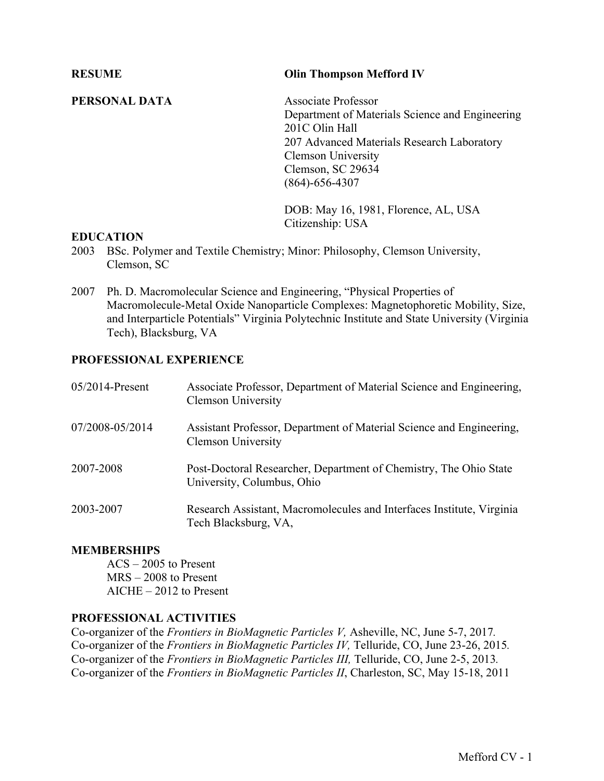### **PERSONAL DATA** Associate Professor

Department of Materials Science and Engineering 201C Olin Hall 207 Advanced Materials Research Laboratory Clemson University Clemson, SC 29634 (864)-656-4307

DOB: May 16, 1981, Florence, AL, USA Citizenship: USA

### **EDUCATION**

- 2003 BSc. Polymer and Textile Chemistry; Minor: Philosophy, Clemson University, Clemson, SC
- 2007 Ph. D. Macromolecular Science and Engineering, "Physical Properties of Macromolecule-Metal Oxide Nanoparticle Complexes: Magnetophoretic Mobility, Size, and Interparticle Potentials" Virginia Polytechnic Institute and State University (Virginia Tech), Blacksburg, VA

### **PROFESSIONAL EXPERIENCE**

| $05/2014$ -Present | Associate Professor, Department of Material Science and Engineering,<br><b>Clemson University</b> |
|--------------------|---------------------------------------------------------------------------------------------------|
| 07/2008-05/2014    | Assistant Professor, Department of Material Science and Engineering,<br><b>Clemson University</b> |
| 2007-2008          | Post-Doctoral Researcher, Department of Chemistry, The Ohio State<br>University, Columbus, Ohio   |
| 2003-2007          | Research Assistant, Macromolecules and Interfaces Institute, Virginia<br>Tech Blacksburg, VA,     |

### **MEMBERSHIPS**

ACS – 2005 to Present MRS – 2008 to Present AICHE – 2012 to Present

### **PROFESSIONAL ACTIVITIES**

Co-organizer of the *Frontiers in BioMagnetic Particles V,* Asheville, NC, June 5-7, 2017*.* Co-organizer of the *Frontiers in BioMagnetic Particles IV,* Telluride, CO, June 23-26, 2015*.* Co-organizer of the *Frontiers in BioMagnetic Particles III,* Telluride, CO, June 2-5, 2013*.* Co-organizer of the *Frontiers in BioMagnetic Particles II*, Charleston, SC, May 15-18, 2011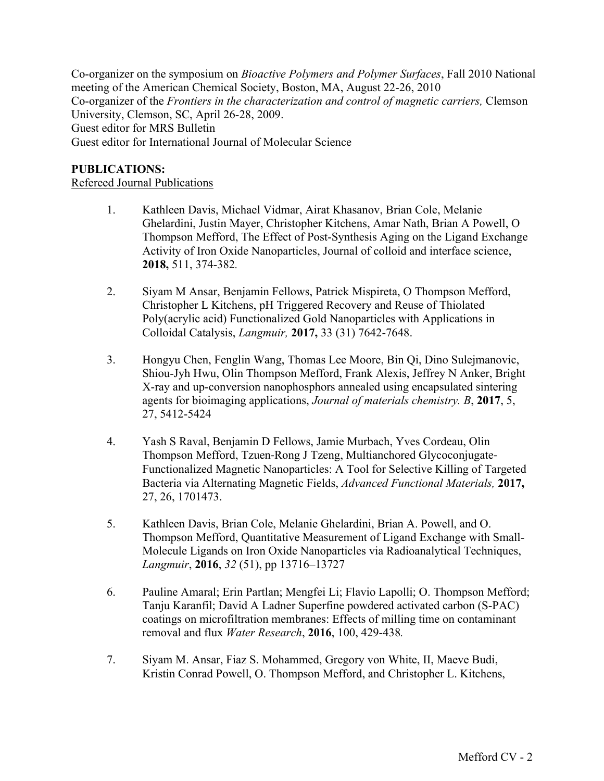Co-organizer on the symposium on *Bioactive Polymers and Polymer Surfaces*, Fall 2010 National meeting of the American Chemical Society, Boston, MA, August 22-26, 2010 Co-organizer of the *Frontiers in the characterization and control of magnetic carriers,* Clemson University, Clemson, SC, April 26-28, 2009. Guest editor for MRS Bulletin Guest editor for International Journal of Molecular Science

### **PUBLICATIONS:**

Refereed Journal Publications

- 1. Kathleen Davis, Michael Vidmar, Airat Khasanov, Brian Cole, Melanie Ghelardini, Justin Mayer, Christopher Kitchens, Amar Nath, Brian A Powell, O Thompson Mefford, The Effect of Post-Synthesis Aging on the Ligand Exchange Activity of Iron Oxide Nanoparticles, Journal of colloid and interface science, **2018,** 511, 374-382*.*
- 2. Siyam M Ansar, Benjamin Fellows, Patrick Mispireta, O Thompson Mefford, Christopher L Kitchens, pH Triggered Recovery and Reuse of Thiolated Poly(acrylic acid) Functionalized Gold Nanoparticles with Applications in Colloidal Catalysis, *Langmuir,* **2017,** 33 (31) 7642-7648.
- 3. Hongyu Chen, Fenglin Wang, Thomas Lee Moore, Bin Qi, Dino Sulejmanovic, Shiou-Jyh Hwu, Olin Thompson Mefford, Frank Alexis, Jeffrey N Anker, Bright X-ray and up-conversion nanophosphors annealed using encapsulated sintering agents for bioimaging applications, *Journal of materials chemistry. B*, **2017**, 5, 27, 5412-5424
- 4. Yash S Raval, Benjamin D Fellows, Jamie Murbach, Yves Cordeau, Olin Thompson Mefford, Tzuen-Rong J Tzeng, Multianchored Glycoconjugate-Functionalized Magnetic Nanoparticles: A Tool for Selective Killing of Targeted Bacteria via Alternating Magnetic Fields, *Advanced Functional Materials,* **2017,**  27, 26, 1701473.
- 5. Kathleen Davis, Brian Cole, Melanie Ghelardini, Brian A. Powell, and O. Thompson Mefford, Quantitative Measurement of Ligand Exchange with Small-Molecule Ligands on Iron Oxide Nanoparticles via Radioanalytical Techniques, *Langmuir*, **2016**, *32* (51), pp 13716–13727
- 6. Pauline Amaral; Erin Partlan; Mengfei Li; Flavio Lapolli; O. Thompson Mefford; Tanju Karanfil; David A Ladner Superfine powdered activated carbon (S-PAC) coatings on microfiltration membranes: Effects of milling time on contaminant removal and flux *Water Research*, **2016**, 100, 429-438*.*
- 7. Siyam M. Ansar, Fiaz S. Mohammed, Gregory von White, II, Maeve Budi, Kristin Conrad Powell, O. Thompson Mefford, and Christopher L. Kitchens,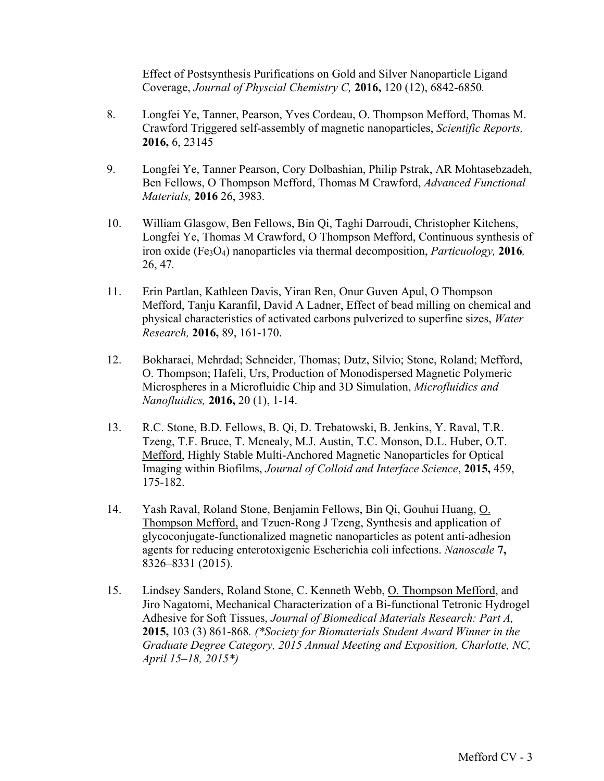Effect of Postsynthesis Purifications on Gold and Silver Nanoparticle Ligand Coverage, *Journal of Physcial Chemistry C,* **2016,** 120 (12), 6842-6850*.*

- 8. Longfei Ye, Tanner, Pearson, Yves Cordeau, O. Thompson Mefford, Thomas M. Crawford Triggered self-assembly of magnetic nanoparticles, *Scientific Reports,*  **2016,** 6, 23145
- 9. Longfei Ye, Tanner Pearson, Cory Dolbashian, Philip Pstrak, AR Mohtasebzadeh, Ben Fellows, O Thompson Mefford, Thomas M Crawford, *Advanced Functional Materials,* **2016** 26, 3983*.*
- 10. William Glasgow, Ben Fellows, Bin Qi, Taghi Darroudi, Christopher Kitchens, Longfei Ye, Thomas M Crawford, O Thompson Mefford, Continuous synthesis of iron oxide (Fe3O4) nanoparticles via thermal decomposition, *Particuology,* **2016***,*  26, 47*.*
- 11. Erin Partlan, Kathleen Davis, Yiran Ren, Onur Guven Apul, O Thompson Mefford, Tanju Karanfil, David A Ladner, Effect of bead milling on chemical and physical characteristics of activated carbons pulverized to superfine sizes, *Water Research,* **2016,** 89, 161-170.
- 12. Bokharaei, Mehrdad; Schneider, Thomas; Dutz, Silvio; Stone, Roland; Mefford, O. Thompson; Hafeli, Urs, Production of Monodispersed Magnetic Polymeric Microspheres in a Microfluidic Chip and 3D Simulation, *Microfluidics and Nanofluidics,* **2016,** 20 (1), 1-14.
- 13. R.C. Stone, B.D. Fellows, B. Qi, D. Trebatowski, B. Jenkins, Y. Raval, T.R. Tzeng, T.F. Bruce, T. Mcnealy, M.J. Austin, T.C. Monson, D.L. Huber, O.T. Mefford, Highly Stable Multi-Anchored Magnetic Nanoparticles for Optical Imaging within Biofilms, *Journal of Colloid and Interface Science*, **2015,** 459, 175-182.
- 14. Yash Raval, Roland Stone, Benjamin Fellows, Bin Qi, Gouhui Huang, O. Thompson Mefford, and Tzuen-Rong J Tzeng, Synthesis and application of glycoconjugate-functionalized magnetic nanoparticles as potent anti-adhesion agents for reducing enterotoxigenic Escherichia coli infections. *Nanoscale* **7,** 8326–8331 (2015).
- 15. Lindsey Sanders, Roland Stone, C. Kenneth Webb, O. Thompson Mefford, and Jiro Nagatomi, Mechanical Characterization of a Bi-functional Tetronic Hydrogel Adhesive for Soft Tissues, *Journal of Biomedical Materials Research: Part A,* **2015,** 103 (3) 861-868*. (\*Society for Biomaterials Student Award Winner in the Graduate Degree Category, 2015 Annual Meeting and Exposition, Charlotte, NC, April 15–18, 2015\*)*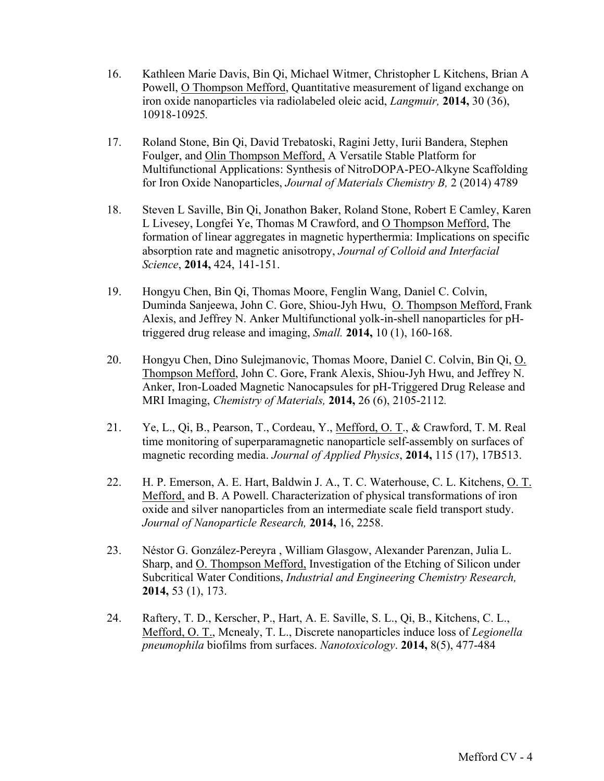- 16. Kathleen Marie Davis, Bin Qi, Michael Witmer, Christopher L Kitchens, Brian A Powell, O Thompson Mefford, Quantitative measurement of ligand exchange on iron oxide nanoparticles via radiolabeled oleic acid, *Langmuir,* **2014,** 30 (36), 10918-10925*.*
- 17. Roland Stone, Bin Qi, David Trebatoski, Ragini Jetty, Iurii Bandera, Stephen Foulger, and Olin Thompson Mefford, A Versatile Stable Platform for Multifunctional Applications: Synthesis of NitroDOPA-PEO-Alkyne Scaffolding for Iron Oxide Nanoparticles, *Journal of Materials Chemistry B,* 2 (2014) 4789
- 18. Steven L Saville, Bin Qi, Jonathon Baker, Roland Stone, Robert E Camley, Karen L Livesey, Longfei Ye, Thomas M Crawford, and O Thompson Mefford, The formation of linear aggregates in magnetic hyperthermia: Implications on specific absorption rate and magnetic anisotropy, *Journal of Colloid and Interfacial Science*, **2014,** 424, 141-151.
- 19. Hongyu Chen, Bin Qi, Thomas Moore, Fenglin Wang, Daniel C. Colvin, Duminda Sanjeewa, John C. Gore, Shiou-Jyh Hwu, O. Thompson Mefford, Frank Alexis, and Jeffrey N. Anker Multifunctional yolk-in-shell nanoparticles for pHtriggered drug release and imaging, *Small.* **2014,** 10 (1), 160-168.
- 20. Hongyu Chen, Dino Sulejmanovic, Thomas Moore, Daniel C. Colvin, Bin Qi, O. Thompson Mefford, John C. Gore, Frank Alexis, Shiou-Jyh Hwu, and Jeffrey N. Anker, Iron-Loaded Magnetic Nanocapsules for pH-Triggered Drug Release and MRI Imaging, *Chemistry of Materials,* **2014,** 26 (6), 2105-2112*.*
- 21. Ye, L., Qi, B., Pearson, T., Cordeau, Y., Mefford, O. T., & Crawford, T. M. Real time monitoring of superparamagnetic nanoparticle self-assembly on surfaces of magnetic recording media. *Journal of Applied Physics*, **2014,** 115 (17), 17B513.
- 22. H. P. Emerson, A. E. Hart, Baldwin J. A., T. C. Waterhouse, C. L. Kitchens, O. T. Mefford, and B. A Powell. Characterization of physical transformations of iron oxide and silver nanoparticles from an intermediate scale field transport study. *Journal of Nanoparticle Research,* **2014,** 16, 2258.
- 23. Néstor G. González-Pereyra , William Glasgow, Alexander Parenzan, Julia L. Sharp, and O. Thompson Mefford, Investigation of the Etching of Silicon under Subcritical Water Conditions, *Industrial and Engineering Chemistry Research,*  **2014,** 53 (1), 173.
- 24. Raftery, T. D., Kerscher, P., Hart, A. E. Saville, S. L., Qi, B., Kitchens, C. L., Mefford, O. T., Mcnealy, T. L., Discrete nanoparticles induce loss of *Legionella pneumophila* biofilms from surfaces. *Nanotoxicology*. **2014,** 8(5), 477-484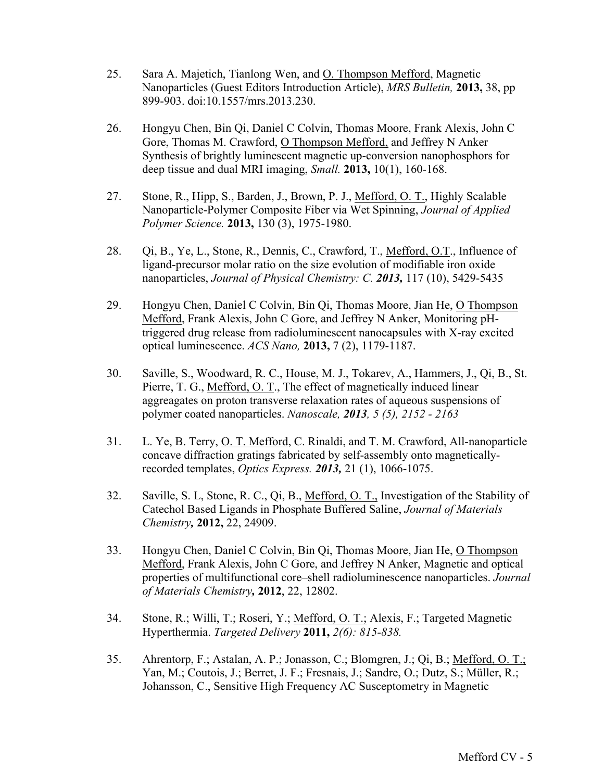- 25. Sara A. Majetich, Tianlong Wen, and O. Thompson Mefford, Magnetic Nanoparticles (Guest Editors Introduction Article), *MRS Bulletin,* **2013,** 38, pp 899-903. doi:10.1557/mrs.2013.230.
- 26. Hongyu Chen, Bin Qi, Daniel C Colvin, Thomas Moore, Frank Alexis, John C Gore, Thomas M. Crawford, O Thompson Mefford, and Jeffrey N Anker Synthesis of brightly luminescent magnetic up-conversion nanophosphors for deep tissue and dual MRI imaging, *Small.* **2013,** 10(1), 160-168.
- 27. Stone, R., Hipp, S., Barden, J., Brown, P. J., Mefford, O. T., Highly Scalable Nanoparticle-Polymer Composite Fiber via Wet Spinning, *Journal of Applied Polymer Science.* **2013,** 130 (3), 1975-1980.
- 28. Qi, B., Ye, L., Stone, R., Dennis, C., Crawford, T., Mefford, O.T., Influence of ligand-precursor molar ratio on the size evolution of modifiable iron oxide nanoparticles, *Journal of Physical Chemistry: C. 2013,* 117 (10), 5429-5435
- 29. Hongyu Chen, Daniel C Colvin, Bin Qi, Thomas Moore, Jian He, O Thompson Mefford, Frank Alexis, John C Gore, and Jeffrey N Anker, Monitoring pHtriggered drug release from radioluminescent nanocapsules with X-ray excited optical luminescence. *ACS Nano,* **2013,** 7 (2), 1179-1187.
- 30. Saville, S., Woodward, R. C., House, M. J., Tokarev, A., Hammers, J., Qi, B., St. Pierre, T. G., Mefford, O. T., The effect of magnetically induced linear aggreagates on proton transverse relaxation rates of aqueous suspensions of polymer coated nanoparticles. *Nanoscale, 2013, 5 (5), 2152 - 2163*
- 31. L. Ye, B. Terry, O. T. Mefford, C. Rinaldi, and T. M. Crawford, All-nanoparticle concave diffraction gratings fabricated by self-assembly onto magneticallyrecorded templates, *Optics Express. 2013,* 21 (1), 1066-1075.
- 32. Saville, S. L, Stone, R. C., Qi, B., Mefford, O. T., Investigation of the Stability of Catechol Based Ligands in Phosphate Buffered Saline, *Journal of Materials Chemistry,* **2012,** 22, 24909.
- 33. Hongyu Chen, Daniel C Colvin, Bin Qi, Thomas Moore, Jian He, O Thompson Mefford, Frank Alexis, John C Gore, and Jeffrey N Anker, Magnetic and optical properties of multifunctional core–shell radioluminescence nanoparticles. *Journal of Materials Chemistry,* **2012**, 22, 12802.
- 34. Stone, R.; Willi, T.; Roseri, Y.; Mefford, O. T.; Alexis, F.; Targeted Magnetic Hyperthermia. *Targeted Delivery* **2011,** *2(6): 815-838.*
- 35. Ahrentorp, F.; Astalan, A. P.; Jonasson, C.; Blomgren, J.; Qi, B.; Mefford, O. T.; Yan, M.; Coutois, J.; Berret, J. F.; Fresnais, J.; Sandre, O.; Dutz, S.; Müller, R.; Johansson, C., Sensitive High Frequency AC Susceptometry in Magnetic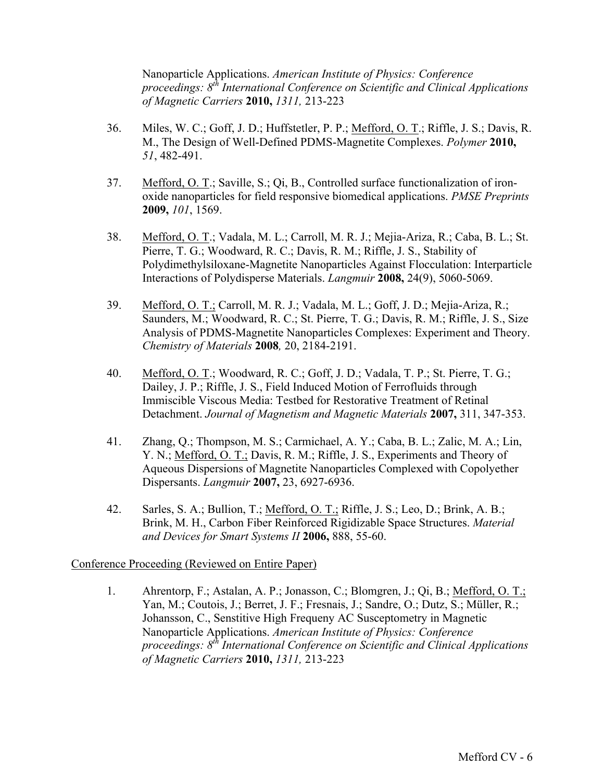Nanoparticle Applications. *American Institute of Physics: Conference proceedings: 8th International Conference on Scientific and Clinical Applications of Magnetic Carriers* **2010,** *1311,* 213-223

- 36. Miles, W. C.; Goff, J. D.; Huffstetler, P. P.; Mefford, O. T.; Riffle, J. S.; Davis, R. M., The Design of Well-Defined PDMS-Magnetite Complexes. *Polymer* **2010,** *51*, 482-491.
- 37. Mefford, O. T.; Saville, S.; Qi, B., Controlled surface functionalization of ironoxide nanoparticles for field responsive biomedical applications. *PMSE Preprints*  **2009,** *101*, 1569.
- 38. Mefford, O. T.; Vadala, M. L.; Carroll, M. R. J.; Mejia-Ariza, R.; Caba, B. L.; St. Pierre, T. G.; Woodward, R. C.; Davis, R. M.; Riffle, J. S., Stability of Polydimethylsiloxane-Magnetite Nanoparticles Against Flocculation: Interparticle Interactions of Polydisperse Materials. *Langmuir* **2008,** 24(9), 5060-5069.
- 39. Mefford, O. T.; Carroll, M. R. J.; Vadala, M. L.; Goff, J. D.; Mejia-Ariza, R.; Saunders, M.; Woodward, R. C.; St. Pierre, T. G.; Davis, R. M.; Riffle, J. S., Size Analysis of PDMS-Magnetite Nanoparticles Complexes: Experiment and Theory. *Chemistry of Materials* **2008***,* 20, 2184-2191.
- 40. Mefford, O. T.; Woodward, R. C.; Goff, J. D.; Vadala, T. P.; St. Pierre, T. G.; Dailey, J. P.; Riffle, J. S., Field Induced Motion of Ferrofluids through Immiscible Viscous Media: Testbed for Restorative Treatment of Retinal Detachment. *Journal of Magnetism and Magnetic Materials* **2007,** 311, 347-353.
- 41. Zhang, Q.; Thompson, M. S.; Carmichael, A. Y.; Caba, B. L.; Zalic, M. A.; Lin, Y. N.; Mefford, O. T.; Davis, R. M.; Riffle, J. S., Experiments and Theory of Aqueous Dispersions of Magnetite Nanoparticles Complexed with Copolyether Dispersants. *Langmuir* **2007,** 23, 6927-6936.
- 42. Sarles, S. A.; Bullion, T.; Mefford, O. T.; Riffle, J. S.; Leo, D.; Brink, A. B.; Brink, M. H., Carbon Fiber Reinforced Rigidizable Space Structures. *Material and Devices for Smart Systems II* **2006,** 888, 55-60.

### Conference Proceeding (Reviewed on Entire Paper)

1. Ahrentorp, F.; Astalan, A. P.; Jonasson, C.; Blomgren, J.; Qi, B.; Mefford, O. T.; Yan, M.; Coutois, J.; Berret, J. F.; Fresnais, J.; Sandre, O.; Dutz, S.; Müller, R.; Johansson, C., Senstitive High Frequeny AC Susceptometry in Magnetic Nanoparticle Applications. *American Institute of Physics: Conference proceedings: 8th International Conference on Scientific and Clinical Applications of Magnetic Carriers* **2010,** *1311,* 213-223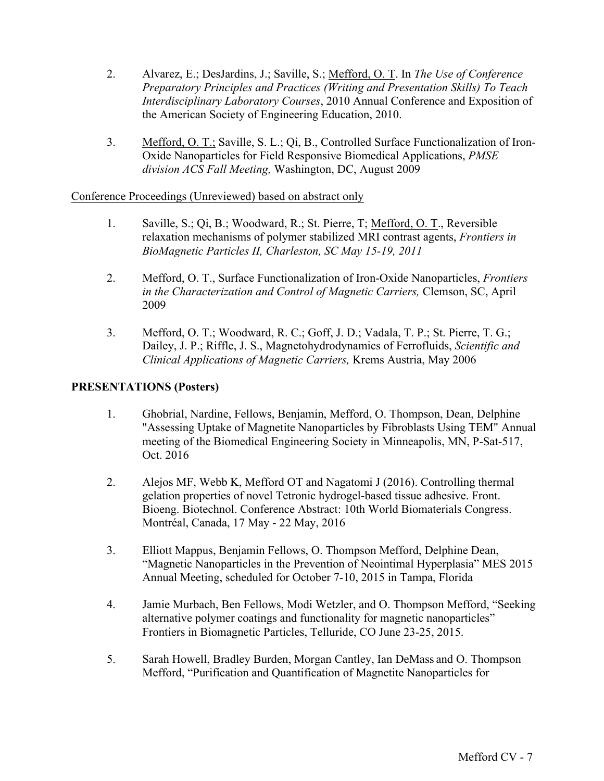- 2. Alvarez, E.; DesJardins, J.; Saville, S.; Mefford, O. T. In *The Use of Conference Preparatory Principles and Practices (Writing and Presentation Skills) To Teach Interdisciplinary Laboratory Courses*, 2010 Annual Conference and Exposition of the American Society of Engineering Education, 2010.
- 3. Mefford, O. T.; Saville, S. L.; Qi, B., Controlled Surface Functionalization of Iron-Oxide Nanoparticles for Field Responsive Biomedical Applications, *PMSE division ACS Fall Meeting,* Washington, DC, August 2009

### Conference Proceedings (Unreviewed) based on abstract only

- 1. Saville, S.; Qi, B.; Woodward, R.; St. Pierre, T; Mefford, O. T., Reversible relaxation mechanisms of polymer stabilized MRI contrast agents, *Frontiers in BioMagnetic Particles II, Charleston, SC May 15-19, 2011*
- 2. Mefford, O. T., Surface Functionalization of Iron-Oxide Nanoparticles, *Frontiers in the Characterization and Control of Magnetic Carriers,* Clemson, SC, April 2009
- 3. Mefford, O. T.; Woodward, R. C.; Goff, J. D.; Vadala, T. P.; St. Pierre, T. G.; Dailey, J. P.; Riffle, J. S., Magnetohydrodynamics of Ferrofluids, *Scientific and Clinical Applications of Magnetic Carriers,* Krems Austria, May 2006

# **PRESENTATIONS (Posters)**

- 1. Ghobrial, Nardine, Fellows, Benjamin, Mefford, O. Thompson, Dean, Delphine "Assessing Uptake of Magnetite Nanoparticles by Fibroblasts Using TEM" Annual meeting of the Biomedical Engineering Society in Minneapolis, MN, P-Sat-517, Oct. 2016
- 2. Alejos MF, Webb K, Mefford OT and Nagatomi J (2016). Controlling thermal gelation properties of novel Tetronic hydrogel-based tissue adhesive. Front. Bioeng. Biotechnol. Conference Abstract: 10th World Biomaterials Congress. Montréal, Canada, 17 May - 22 May, 2016
- 3. Elliott Mappus, Benjamin Fellows, O. Thompson Mefford, Delphine Dean, "Magnetic Nanoparticles in the Prevention of Neointimal Hyperplasia" MES 2015 Annual Meeting, scheduled for October 7-10, 2015 in Tampa, Florida
- 4. Jamie Murbach, Ben Fellows, Modi Wetzler, and O. Thompson Mefford, "Seeking alternative polymer coatings and functionality for magnetic nanoparticles" Frontiers in Biomagnetic Particles, Telluride, CO June 23-25, 2015.
- 5. Sarah Howell, Bradley Burden, Morgan Cantley, Ian DeMass and O. Thompson Mefford, "Purification and Quantification of Magnetite Nanoparticles for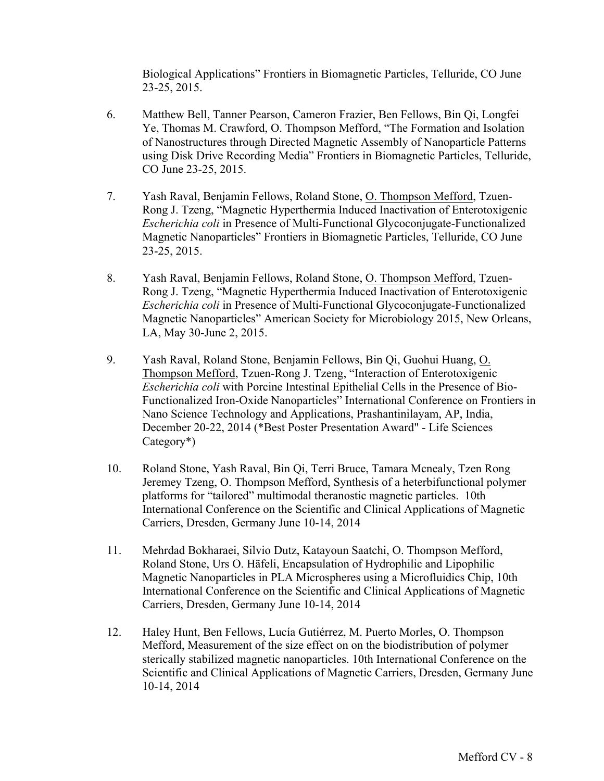Biological Applications" Frontiers in Biomagnetic Particles, Telluride, CO June 23-25, 2015.

- 6. Matthew Bell, Tanner Pearson, Cameron Frazier, Ben Fellows, Bin Qi, Longfei Ye, Thomas M. Crawford, O. Thompson Mefford, "The Formation and Isolation of Nanostructures through Directed Magnetic Assembly of Nanoparticle Patterns using Disk Drive Recording Media" Frontiers in Biomagnetic Particles, Telluride, CO June 23-25, 2015.
- 7. Yash Raval, Benjamin Fellows, Roland Stone, O. Thompson Mefford, Tzuen-Rong J. Tzeng, "Magnetic Hyperthermia Induced Inactivation of Enterotoxigenic *Escherichia coli* in Presence of Multi-Functional Glycoconjugate-Functionalized Magnetic Nanoparticles" Frontiers in Biomagnetic Particles, Telluride, CO June 23-25, 2015.
- 8. Yash Raval, Benjamin Fellows, Roland Stone, O. Thompson Mefford, Tzuen-Rong J. Tzeng, "Magnetic Hyperthermia Induced Inactivation of Enterotoxigenic *Escherichia coli* in Presence of Multi-Functional Glycoconjugate-Functionalized Magnetic Nanoparticles" American Society for Microbiology 2015, New Orleans, LA, May 30-June 2, 2015.
- 9. Yash Raval, Roland Stone, Benjamin Fellows, Bin Qi, Guohui Huang, O. Thompson Mefford, Tzuen-Rong J. Tzeng, "Interaction of Enterotoxigenic *Escherichia coli* with Porcine Intestinal Epithelial Cells in the Presence of Bio-Functionalized Iron-Oxide Nanoparticles" International Conference on Frontiers in Nano Science Technology and Applications, Prashantinilayam, AP, India, December 20-22, 2014 (\*Best Poster Presentation Award" - Life Sciences Category\*)
- 10. Roland Stone, Yash Raval, Bin Qi, Terri Bruce, Tamara Mcnealy, Tzen Rong Jeremey Tzeng, O. Thompson Mefford, Synthesis of a heterbifunctional polymer platforms for "tailored" multimodal theranostic magnetic particles. 10th International Conference on the Scientific and Clinical Applications of Magnetic Carriers, Dresden, Germany June 10-14, 2014
- 11. Mehrdad Bokharaei, Silvio Dutz, Katayoun Saatchi, O. Thompson Mefford, Roland Stone, Urs O. Häfeli, Encapsulation of Hydrophilic and Lipophilic Magnetic Nanoparticles in PLA Microspheres using a Microfluidics Chip, 10th International Conference on the Scientific and Clinical Applications of Magnetic Carriers, Dresden, Germany June 10-14, 2014
- 12. Haley Hunt, Ben Fellows, Lucía Gutiérrez, M. Puerto Morles, O. Thompson Mefford, Measurement of the size effect on on the biodistribution of polymer sterically stabilized magnetic nanoparticles. 10th International Conference on the Scientific and Clinical Applications of Magnetic Carriers, Dresden, Germany June 10-14, 2014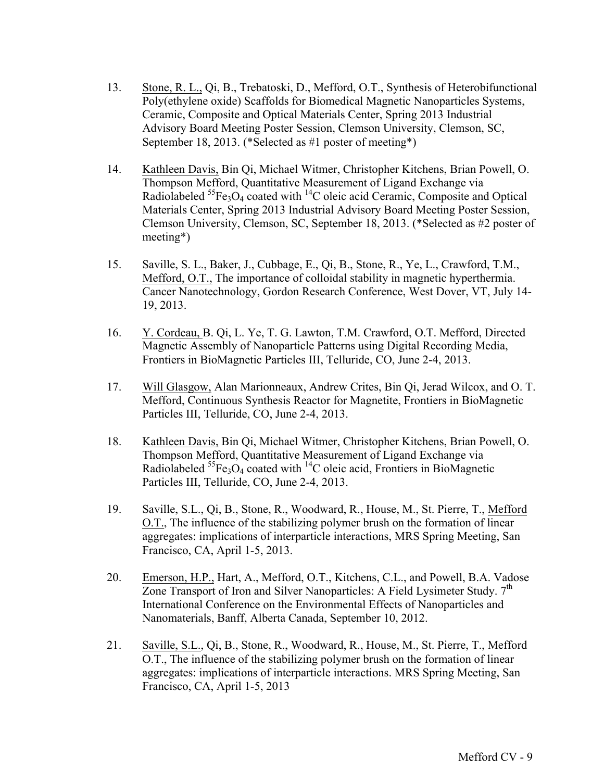- 13. Stone, R. L., Qi, B., Trebatoski, D., Mefford, O.T., Synthesis of Heterobifunctional Poly(ethylene oxide) Scaffolds for Biomedical Magnetic Nanoparticles Systems, Ceramic, Composite and Optical Materials Center, Spring 2013 Industrial Advisory Board Meeting Poster Session, Clemson University, Clemson, SC, September 18, 2013. (\*Selected as #1 poster of meeting\*)
- 14. Kathleen Davis, Bin Qi, Michael Witmer, Christopher Kitchens, Brian Powell, O. Thompson Mefford, Quantitative Measurement of Ligand Exchange via Radiolabeled  ${}^{55}Fe_3O_4$  coated with  ${}^{14}C$  oleic acid Ceramic, Composite and Optical Materials Center, Spring 2013 Industrial Advisory Board Meeting Poster Session, Clemson University, Clemson, SC, September 18, 2013. (\*Selected as #2 poster of meeting\*)
- 15. Saville, S. L., Baker, J., Cubbage, E., Qi, B., Stone, R., Ye, L., Crawford, T.M., Mefford, O.T., The importance of colloidal stability in magnetic hyperthermia. Cancer Nanotechnology, Gordon Research Conference, West Dover, VT, July 14- 19, 2013.
- 16. Y. Cordeau, B. Qi, L. Ye, T. G. Lawton, T.M. Crawford, O.T. Mefford, Directed Magnetic Assembly of Nanoparticle Patterns using Digital Recording Media, Frontiers in BioMagnetic Particles III, Telluride, CO, June 2-4, 2013.
- 17. Will Glasgow, Alan Marionneaux, Andrew Crites, Bin Qi, Jerad Wilcox, and O. T. Mefford, Continuous Synthesis Reactor for Magnetite, Frontiers in BioMagnetic Particles III, Telluride, CO, June 2-4, 2013.
- 18. Kathleen Davis, Bin Qi, Michael Witmer, Christopher Kitchens, Brian Powell, O. Thompson Mefford, Quantitative Measurement of Ligand Exchange via Radiolabeled  ${}^{55}Fe_3O_4$  coated with  ${}^{14}C$  oleic acid, Frontiers in BioMagnetic Particles III, Telluride, CO, June 2-4, 2013.
- 19. Saville, S.L., Qi, B., Stone, R., Woodward, R., House, M., St. Pierre, T., Mefford O.T., The influence of the stabilizing polymer brush on the formation of linear aggregates: implications of interparticle interactions, MRS Spring Meeting, San Francisco, CA, April 1-5, 2013.
- 20. Emerson, H.P., Hart, A., Mefford, O.T., Kitchens, C.L., and Powell, B.A. Vadose Zone Transport of Iron and Silver Nanoparticles: A Field Lysimeter Study.  $7<sup>th</sup>$ International Conference on the Environmental Effects of Nanoparticles and Nanomaterials, Banff, Alberta Canada, September 10, 2012.
- 21. Saville, S.L., Qi, B., Stone, R., Woodward, R., House, M., St. Pierre, T., Mefford O.T., The influence of the stabilizing polymer brush on the formation of linear aggregates: implications of interparticle interactions. MRS Spring Meeting, San Francisco, CA, April 1-5, 2013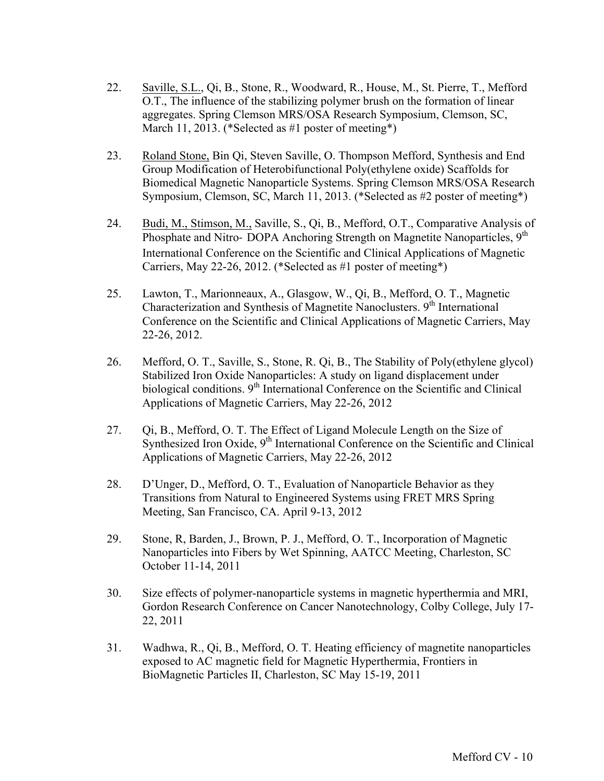- 22. Saville, S.L., Qi, B., Stone, R., Woodward, R., House, M., St. Pierre, T., Mefford O.T., The influence of the stabilizing polymer brush on the formation of linear aggregates. Spring Clemson MRS/OSA Research Symposium, Clemson, SC, March 11, 2013. (\*Selected as #1 poster of meeting\*)
- 23. Roland Stone, Bin Qi, Steven Saville, O. Thompson Mefford, Synthesis and End Group Modification of Heterobifunctional Poly(ethylene oxide) Scaffolds for Biomedical Magnetic Nanoparticle Systems. Spring Clemson MRS/OSA Research Symposium, Clemson, SC, March 11, 2013. (\*Selected as #2 poster of meeting\*)
- 24. Budi, M., Stimson, M., Saville, S., Qi, B., Mefford, O.T., Comparative Analysis of Phosphate and Nitro- DOPA Anchoring Strength on Magnetite Nanoparticles, 9<sup>th</sup> International Conference on the Scientific and Clinical Applications of Magnetic Carriers, May 22-26, 2012. (\*Selected as #1 poster of meeting\*)
- 25. Lawton, T., Marionneaux, A., Glasgow, W., Qi, B., Mefford, O. T., Magnetic Characterization and Synthesis of Magnetite Nanoclusters. 9<sup>th</sup> International Conference on the Scientific and Clinical Applications of Magnetic Carriers, May 22-26, 2012.
- 26. Mefford, O. T., Saville, S., Stone, R. Qi, B., The Stability of Poly(ethylene glycol) Stabilized Iron Oxide Nanoparticles: A study on ligand displacement under biological conditions.  $9<sup>th</sup>$  International Conference on the Scientific and Clinical Applications of Magnetic Carriers, May 22-26, 2012
- 27. Qi, B., Mefford, O. T. The Effect of Ligand Molecule Length on the Size of Synthesized Iron Oxide, 9<sup>th</sup> International Conference on the Scientific and Clinical Applications of Magnetic Carriers, May 22-26, 2012
- 28. D'Unger, D., Mefford, O. T., Evaluation of Nanoparticle Behavior as they Transitions from Natural to Engineered Systems using FRET MRS Spring Meeting, San Francisco, CA. April 9-13, 2012
- 29. Stone, R, Barden, J., Brown, P. J., Mefford, O. T., Incorporation of Magnetic Nanoparticles into Fibers by Wet Spinning, AATCC Meeting, Charleston, SC October 11-14, 2011
- 30. Size effects of polymer-nanoparticle systems in magnetic hyperthermia and MRI, Gordon Research Conference on Cancer Nanotechnology, Colby College, July 17- 22, 2011
- 31. Wadhwa, R., Qi, B., Mefford, O. T. Heating efficiency of magnetite nanoparticles exposed to AC magnetic field for Magnetic Hyperthermia, Frontiers in BioMagnetic Particles II, Charleston, SC May 15-19, 2011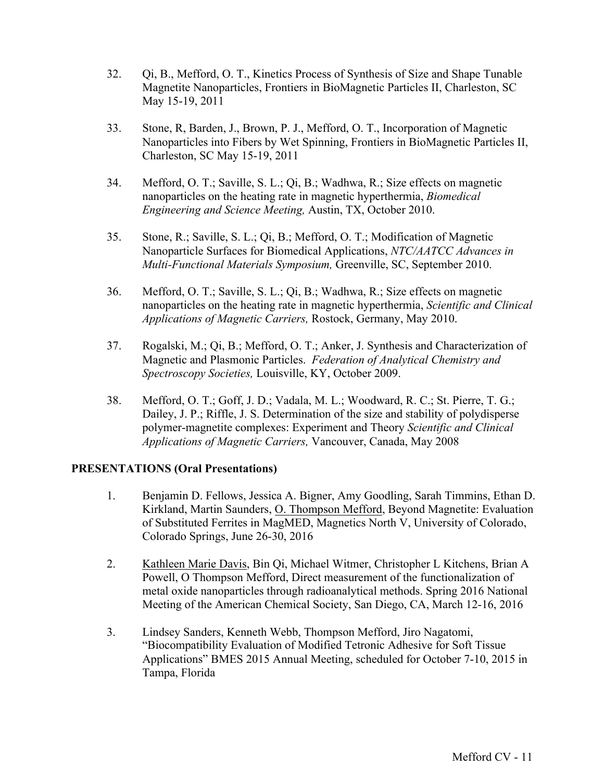- 32. Qi, B., Mefford, O. T., Kinetics Process of Synthesis of Size and Shape Tunable Magnetite Nanoparticles, Frontiers in BioMagnetic Particles II, Charleston, SC May 15-19, 2011
- 33. Stone, R, Barden, J., Brown, P. J., Mefford, O. T., Incorporation of Magnetic Nanoparticles into Fibers by Wet Spinning, Frontiers in BioMagnetic Particles II, Charleston, SC May 15-19, 2011
- 34. Mefford, O. T.; Saville, S. L.; Qi, B.; Wadhwa, R.; Size effects on magnetic nanoparticles on the heating rate in magnetic hyperthermia, *Biomedical Engineering and Science Meeting,* Austin, TX, October 2010.
- 35. Stone, R.; Saville, S. L.; Qi, B.; Mefford, O. T.; Modification of Magnetic Nanoparticle Surfaces for Biomedical Applications, *NTC/AATCC Advances in Multi-Functional Materials Symposium,* Greenville, SC, September 2010.
- 36. Mefford, O. T.; Saville, S. L.; Qi, B.; Wadhwa, R.; Size effects on magnetic nanoparticles on the heating rate in magnetic hyperthermia, *Scientific and Clinical Applications of Magnetic Carriers,* Rostock, Germany, May 2010.
- 37. Rogalski, M.; Qi, B.; Mefford, O. T.; Anker, J. Synthesis and Characterization of Magnetic and Plasmonic Particles. *Federation of Analytical Chemistry and Spectroscopy Societies,* Louisville, KY, October 2009.
- 38. Mefford, O. T.; Goff, J. D.; Vadala, M. L.; Woodward, R. C.; St. Pierre, T. G.; Dailey, J. P.; Riffle, J. S. Determination of the size and stability of polydisperse polymer-magnetite complexes: Experiment and Theory *Scientific and Clinical Applications of Magnetic Carriers,* Vancouver, Canada, May 2008

### **PRESENTATIONS (Oral Presentations)**

- 1. Benjamin D. Fellows, Jessica A. Bigner, Amy Goodling, Sarah Timmins, Ethan D. Kirkland, Martin Saunders, O. Thompson Mefford, Beyond Magnetite: Evaluation of Substituted Ferrites in MagMED, Magnetics North V, University of Colorado, Colorado Springs, June 26-30, 2016
- 2. Kathleen Marie Davis, Bin Qi, Michael Witmer, Christopher L Kitchens, Brian A Powell, O Thompson Mefford, Direct measurement of the functionalization of metal oxide nanoparticles through radioanalytical methods. Spring 2016 National Meeting of the American Chemical Society, San Diego, CA, March 12-16, 2016
- 3. Lindsey Sanders, Kenneth Webb, Thompson Mefford, Jiro Nagatomi, "Biocompatibility Evaluation of Modified Tetronic Adhesive for Soft Tissue Applications" BMES 2015 Annual Meeting, scheduled for October 7-10, 2015 in Tampa, Florida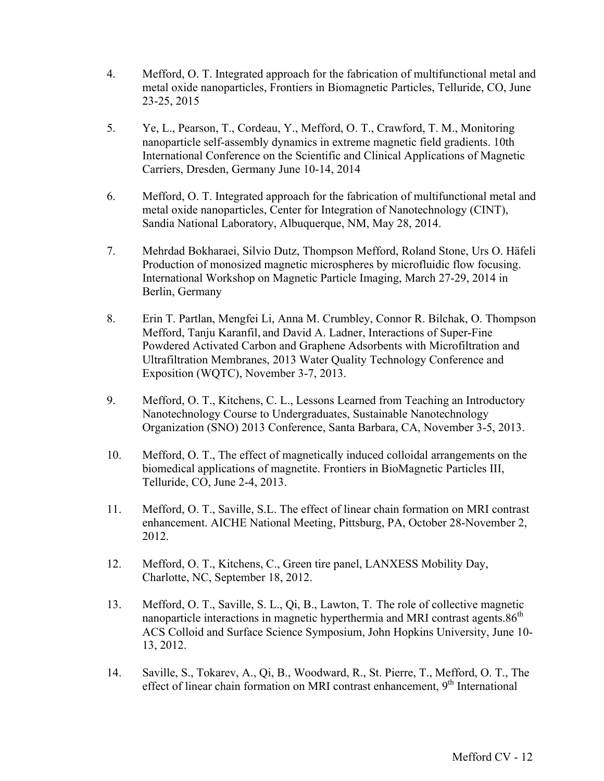- 4. Mefford, O. T. Integrated approach for the fabrication of multifunctional metal and metal oxide nanoparticles, Frontiers in Biomagnetic Particles, Telluride, CO, June 23-25, 2015
- 5. Ye, L., Pearson, T., Cordeau, Y., Mefford, O. T., Crawford, T. M., Monitoring nanoparticle self-assembly dynamics in extreme magnetic field gradients. 10th International Conference on the Scientific and Clinical Applications of Magnetic Carriers, Dresden, Germany June 10-14, 2014
- 6. Mefford, O. T. Integrated approach for the fabrication of multifunctional metal and metal oxide nanoparticles, Center for Integration of Nanotechnology (CINT), Sandia National Laboratory, Albuquerque, NM, May 28, 2014.
- 7. Mehrdad Bokharaei, Silvio Dutz, Thompson Mefford, Roland Stone, Urs O. Häfeli Production of monosized magnetic microspheres by microfluidic flow focusing. International Workshop on Magnetic Particle Imaging, March 27-29, 2014 in Berlin, Germany
- 8. Erin T. Partlan, Mengfei Li, Anna M. Crumbley, Connor R. Bilchak, O. Thompson Mefford, Tanju Karanfil, and David A. Ladner, Interactions of Super-Fine Powdered Activated Carbon and Graphene Adsorbents with Microfiltration and Ultrafiltration Membranes, 2013 Water Quality Technology Conference and Exposition (WQTC), November 3-7, 2013.
- 9. Mefford, O. T., Kitchens, C. L., Lessons Learned from Teaching an Introductory Nanotechnology Course to Undergraduates, Sustainable Nanotechnology Organization (SNO) 2013 Conference, Santa Barbara, CA, November 3-5, 2013.
- 10. Mefford, O. T., The effect of magnetically induced colloidal arrangements on the biomedical applications of magnetite. Frontiers in BioMagnetic Particles III, Telluride, CO, June 2-4, 2013.
- 11. Mefford, O. T., Saville, S.L. The effect of linear chain formation on MRI contrast enhancement. AICHE National Meeting, Pittsburg, PA, October 28-November 2, 2012.
- 12. Mefford, O. T., Kitchens, C., Green tire panel, LANXESS Mobility Day, Charlotte, NC, September 18, 2012.
- 13. Mefford, O. T., Saville, S. L., Qi, B., Lawton, T. The role of collective magnetic nanoparticle interactions in magnetic hyperthermia and MRI contrast agents.86<sup>th</sup> ACS Colloid and Surface Science Symposium, John Hopkins University, June 10- 13, 2012.
- 14. Saville, S., Tokarev, A., Qi, B., Woodward, R., St. Pierre, T., Mefford, O. T., The effect of linear chain formation on MRI contrast enhancement,  $9<sup>th</sup>$  International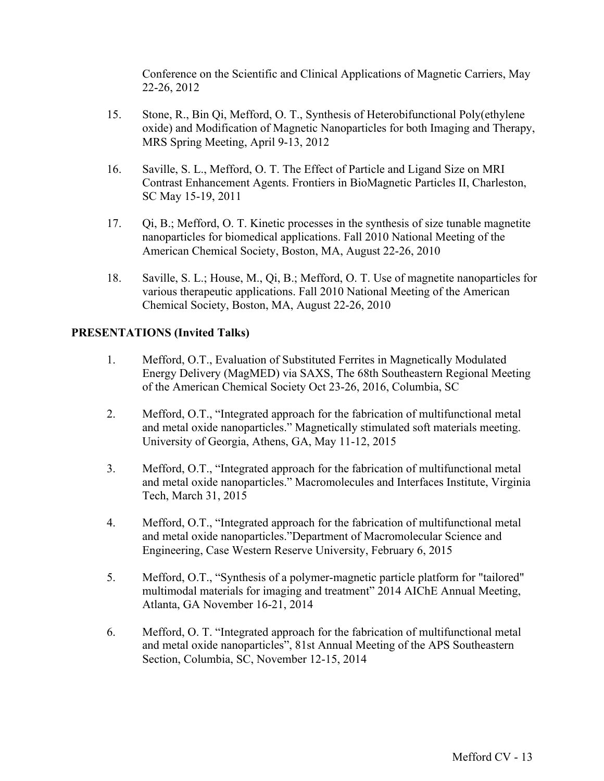Conference on the Scientific and Clinical Applications of Magnetic Carriers, May 22-26, 2012

- 15. Stone, R., Bin Qi, Mefford, O. T., Synthesis of Heterobifunctional Poly(ethylene oxide) and Modification of Magnetic Nanoparticles for both Imaging and Therapy, MRS Spring Meeting, April 9-13, 2012
- 16. Saville, S. L., Mefford, O. T. The Effect of Particle and Ligand Size on MRI Contrast Enhancement Agents. Frontiers in BioMagnetic Particles II, Charleston, SC May 15-19, 2011
- 17. Qi, B.; Mefford, O. T. Kinetic processes in the synthesis of size tunable magnetite nanoparticles for biomedical applications. Fall 2010 National Meeting of the American Chemical Society, Boston, MA, August 22-26, 2010
- 18. Saville, S. L.; House, M., Qi, B.; Mefford, O. T. Use of magnetite nanoparticles for various therapeutic applications. Fall 2010 National Meeting of the American Chemical Society, Boston, MA, August 22-26, 2010

### **PRESENTATIONS (Invited Talks)**

- 1. Mefford, O.T., Evaluation of Substituted Ferrites in Magnetically Modulated Energy Delivery (MagMED) via SAXS, The 68th Southeastern Regional Meeting of the American Chemical Society Oct 23-26, 2016, Columbia, SC
- 2. Mefford, O.T., "Integrated approach for the fabrication of multifunctional metal and metal oxide nanoparticles." Magnetically stimulated soft materials meeting. University of Georgia, Athens, GA, May 11-12, 2015
- 3. Mefford, O.T., "Integrated approach for the fabrication of multifunctional metal and metal oxide nanoparticles." Macromolecules and Interfaces Institute, Virginia Tech, March 31, 2015
- 4. Mefford, O.T., "Integrated approach for the fabrication of multifunctional metal and metal oxide nanoparticles."Department of Macromolecular Science and Engineering, Case Western Reserve University, February 6, 2015
- 5. Mefford, O.T., "Synthesis of a polymer-magnetic particle platform for "tailored" multimodal materials for imaging and treatment" 2014 AIChE Annual Meeting, Atlanta, GA November 16-21, 2014
- 6. Mefford, O. T. "Integrated approach for the fabrication of multifunctional metal and metal oxide nanoparticles", 81st Annual Meeting of the APS Southeastern Section, Columbia, SC, November 12-15, 2014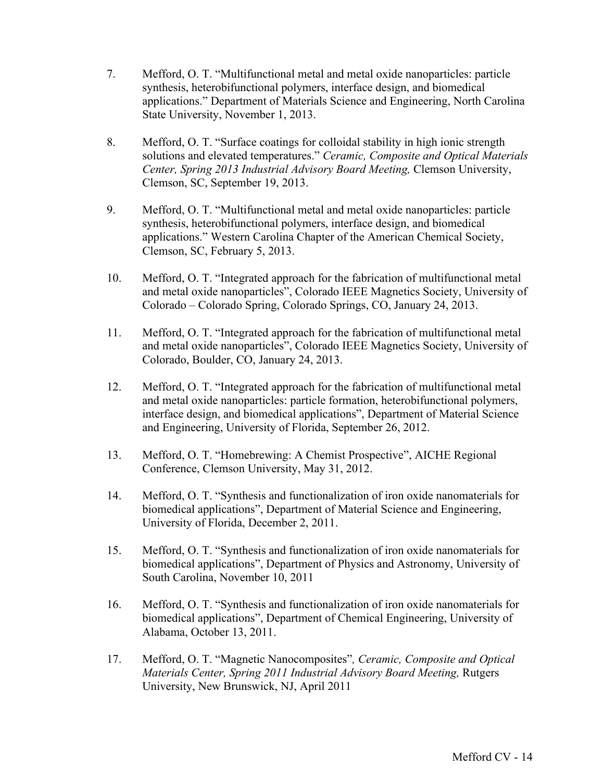- 7. Mefford, O. T. "Multifunctional metal and metal oxide nanoparticles: particle synthesis, heterobifunctional polymers, interface design, and biomedical applications." Department of Materials Science and Engineering, North Carolina State University, November 1, 2013.
- 8. Mefford, O. T. "Surface coatings for colloidal stability in high ionic strength solutions and elevated temperatures." *Ceramic, Composite and Optical Materials Center, Spring 2013 Industrial Advisory Board Meeting,* Clemson University, Clemson, SC, September 19, 2013.
- 9. Mefford, O. T. "Multifunctional metal and metal oxide nanoparticles: particle synthesis, heterobifunctional polymers, interface design, and biomedical applications." Western Carolina Chapter of the American Chemical Society, Clemson, SC, February 5, 2013.
- 10. Mefford, O. T. "Integrated approach for the fabrication of multifunctional metal and metal oxide nanoparticles", Colorado IEEE Magnetics Society, University of Colorado – Colorado Spring, Colorado Springs, CO, January 24, 2013.
- 11. Mefford, O. T. "Integrated approach for the fabrication of multifunctional metal and metal oxide nanoparticles", Colorado IEEE Magnetics Society, University of Colorado, Boulder, CO, January 24, 2013.
- 12. Mefford, O. T. "Integrated approach for the fabrication of multifunctional metal and metal oxide nanoparticles: particle formation, heterobifunctional polymers, interface design, and biomedical applications", Department of Material Science and Engineering, University of Florida, September 26, 2012.
- 13. Mefford, O. T. "Homebrewing: A Chemist Prospective", AICHE Regional Conference, Clemson University, May 31, 2012.
- 14. Mefford, O. T. "Synthesis and functionalization of iron oxide nanomaterials for biomedical applications", Department of Material Science and Engineering, University of Florida, December 2, 2011.
- 15. Mefford, O. T. "Synthesis and functionalization of iron oxide nanomaterials for biomedical applications", Department of Physics and Astronomy, University of South Carolina, November 10, 2011
- 16. Mefford, O. T. "Synthesis and functionalization of iron oxide nanomaterials for biomedical applications", Department of Chemical Engineering, University of Alabama, October 13, 2011.
- 17. Mefford, O. T. "Magnetic Nanocomposites"*, Ceramic, Composite and Optical Materials Center, Spring 2011 Industrial Advisory Board Meeting,* Rutgers University, New Brunswick, NJ, April 2011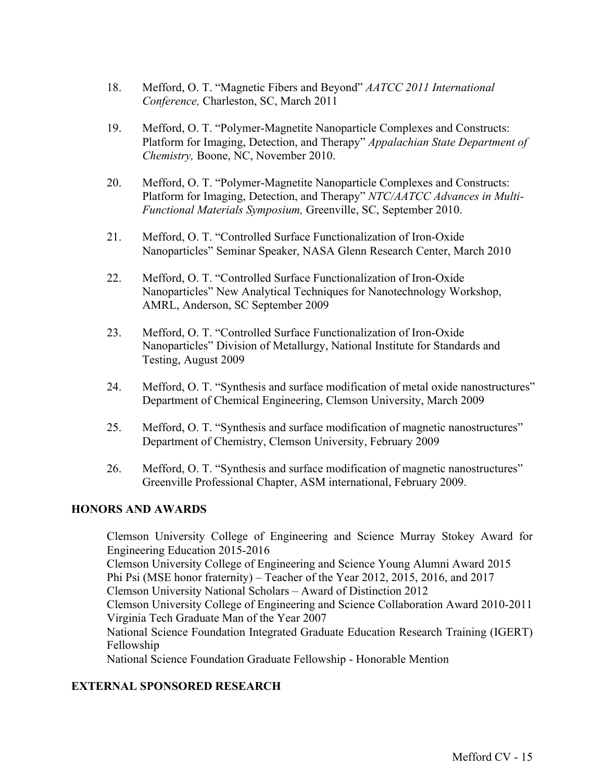- 18. Mefford, O. T. "Magnetic Fibers and Beyond" *AATCC 2011 International Conference,* Charleston, SC, March 2011
- 19. Mefford, O. T. "Polymer-Magnetite Nanoparticle Complexes and Constructs: Platform for Imaging, Detection, and Therapy" *Appalachian State Department of Chemistry,* Boone, NC, November 2010.
- 20. Mefford, O. T. "Polymer-Magnetite Nanoparticle Complexes and Constructs: Platform for Imaging, Detection, and Therapy" *NTC/AATCC Advances in Multi-Functional Materials Symposium,* Greenville, SC, September 2010.
- 21. Mefford, O. T. "Controlled Surface Functionalization of Iron-Oxide Nanoparticles" Seminar Speaker, NASA Glenn Research Center, March 2010
- 22. Mefford, O. T. "Controlled Surface Functionalization of Iron-Oxide Nanoparticles" New Analytical Techniques for Nanotechnology Workshop, AMRL, Anderson, SC September 2009
- 23. Mefford, O. T. "Controlled Surface Functionalization of Iron-Oxide Nanoparticles" Division of Metallurgy, National Institute for Standards and Testing, August 2009
- 24. Mefford, O. T. "Synthesis and surface modification of metal oxide nanostructures" Department of Chemical Engineering, Clemson University, March 2009
- 25. Mefford, O. T. "Synthesis and surface modification of magnetic nanostructures" Department of Chemistry, Clemson University, February 2009
- 26. Mefford, O. T. "Synthesis and surface modification of magnetic nanostructures" Greenville Professional Chapter, ASM international, February 2009.

## **HONORS AND AWARDS**

Clemson University College of Engineering and Science Murray Stokey Award for Engineering Education 2015-2016

Clemson University College of Engineering and Science Young Alumni Award 2015 Phi Psi (MSE honor fraternity) – Teacher of the Year 2012, 2015, 2016, and 2017

Clemson University National Scholars – Award of Distinction 2012

Clemson University College of Engineering and Science Collaboration Award 2010-2011 Virginia Tech Graduate Man of the Year 2007

National Science Foundation Integrated Graduate Education Research Training (IGERT) Fellowship

National Science Foundation Graduate Fellowship - Honorable Mention

## **EXTERNAL SPONSORED RESEARCH**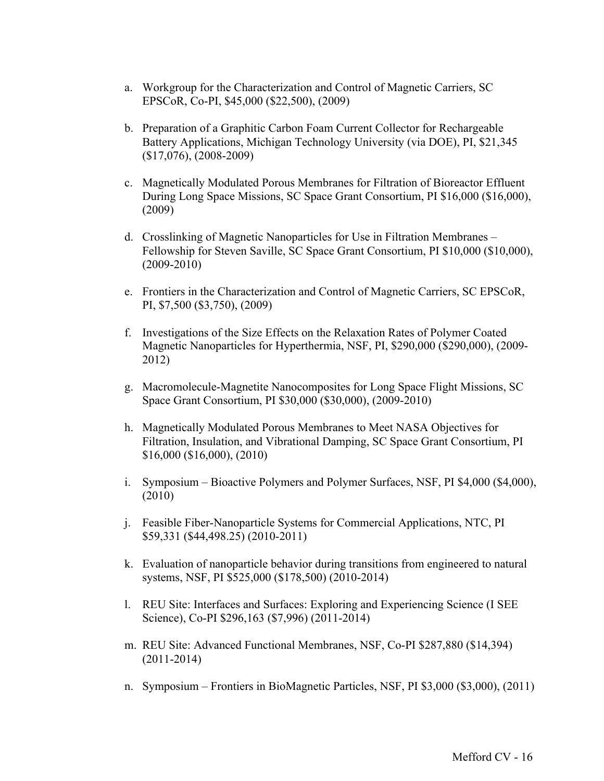- a. Workgroup for the Characterization and Control of Magnetic Carriers, SC EPSCoR, Co-PI, \$45,000 (\$22,500), (2009)
- b. Preparation of a Graphitic Carbon Foam Current Collector for Rechargeable Battery Applications, Michigan Technology University (via DOE), PI, \$21,345 (\$17,076), (2008-2009)
- c. Magnetically Modulated Porous Membranes for Filtration of Bioreactor Effluent During Long Space Missions, SC Space Grant Consortium, PI \$16,000 (\$16,000), (2009)
- d. Crosslinking of Magnetic Nanoparticles for Use in Filtration Membranes Fellowship for Steven Saville, SC Space Grant Consortium, PI \$10,000 (\$10,000), (2009-2010)
- e. Frontiers in the Characterization and Control of Magnetic Carriers, SC EPSCoR, PI, \$7,500 (\$3,750), (2009)
- f. Investigations of the Size Effects on the Relaxation Rates of Polymer Coated Magnetic Nanoparticles for Hyperthermia, NSF, PI, \$290,000 (\$290,000), (2009- 2012)
- g. Macromolecule-Magnetite Nanocomposites for Long Space Flight Missions, SC Space Grant Consortium, PI \$30,000 (\$30,000), (2009-2010)
- h. Magnetically Modulated Porous Membranes to Meet NASA Objectives for Filtration, Insulation, and Vibrational Damping, SC Space Grant Consortium, PI \$16,000 (\$16,000), (2010)
- i. Symposium Bioactive Polymers and Polymer Surfaces, NSF, PI \$4,000 (\$4,000), (2010)
- j. Feasible Fiber-Nanoparticle Systems for Commercial Applications, NTC, PI \$59,331 (\$44,498.25) (2010-2011)
- k. Evaluation of nanoparticle behavior during transitions from engineered to natural systems, NSF, PI \$525,000 (\$178,500) (2010-2014)
- l. REU Site: Interfaces and Surfaces: Exploring and Experiencing Science (I SEE Science), Co-PI \$296,163 (\$7,996) (2011-2014)
- m. REU Site: Advanced Functional Membranes, NSF, Co-PI \$287,880 (\$14,394) (2011-2014)
- n. Symposium Frontiers in BioMagnetic Particles, NSF, PI \$3,000 (\$3,000), (2011)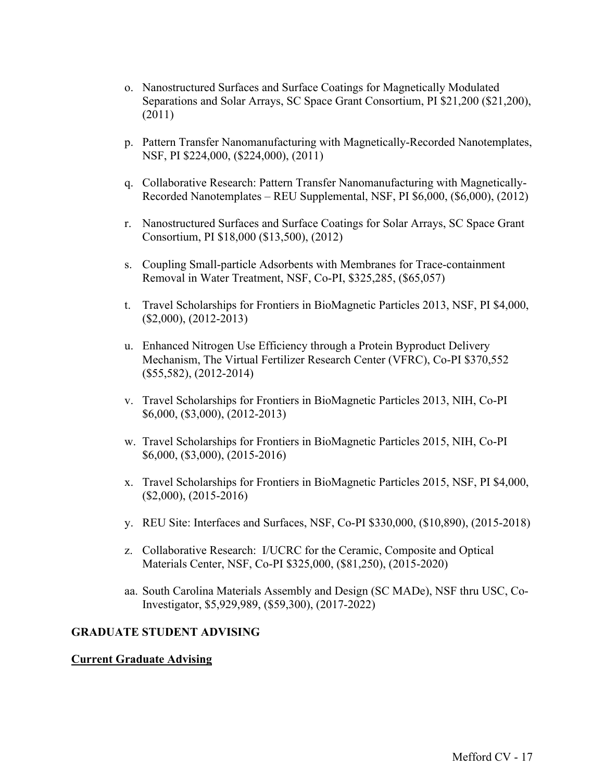- o. Nanostructured Surfaces and Surface Coatings for Magnetically Modulated Separations and Solar Arrays, SC Space Grant Consortium, PI \$21,200 (\$21,200), (2011)
- p. Pattern Transfer Nanomanufacturing with Magnetically-Recorded Nanotemplates, NSF, PI \$224,000, (\$224,000), (2011)
- q. Collaborative Research: Pattern Transfer Nanomanufacturing with Magnetically-Recorded Nanotemplates – REU Supplemental, NSF, PI \$6,000, (\$6,000), (2012)
- r. Nanostructured Surfaces and Surface Coatings for Solar Arrays, SC Space Grant Consortium, PI \$18,000 (\$13,500), (2012)
- s. Coupling Small-particle Adsorbents with Membranes for Trace-containment Removal in Water Treatment, NSF, Co-PI, \$325,285, (\$65,057)
- t. Travel Scholarships for Frontiers in BioMagnetic Particles 2013, NSF, PI \$4,000, (\$2,000), (2012-2013)
- u. Enhanced Nitrogen Use Efficiency through a Protein Byproduct Delivery Mechanism, The Virtual Fertilizer Research Center (VFRC), Co-PI \$370,552 (\$55,582), (2012-2014)
- v. Travel Scholarships for Frontiers in BioMagnetic Particles 2013, NIH, Co-PI \$6,000, (\$3,000), (2012-2013)
- w. Travel Scholarships for Frontiers in BioMagnetic Particles 2015, NIH, Co-PI \$6,000, (\$3,000), (2015-2016)
- x. Travel Scholarships for Frontiers in BioMagnetic Particles 2015, NSF, PI \$4,000, (\$2,000), (2015-2016)
- y. REU Site: Interfaces and Surfaces, NSF, Co-PI \$330,000, (\$10,890), (2015-2018)
- z. Collaborative Research: I/UCRC for the Ceramic, Composite and Optical Materials Center, NSF, Co-PI \$325,000, (\$81,250), (2015-2020)
- aa. South Carolina Materials Assembly and Design (SC MADe), NSF thru USC, Co-Investigator, \$5,929,989, (\$59,300), (2017-2022)

### **GRADUATE STUDENT ADVISING**

### **Current Graduate Advising**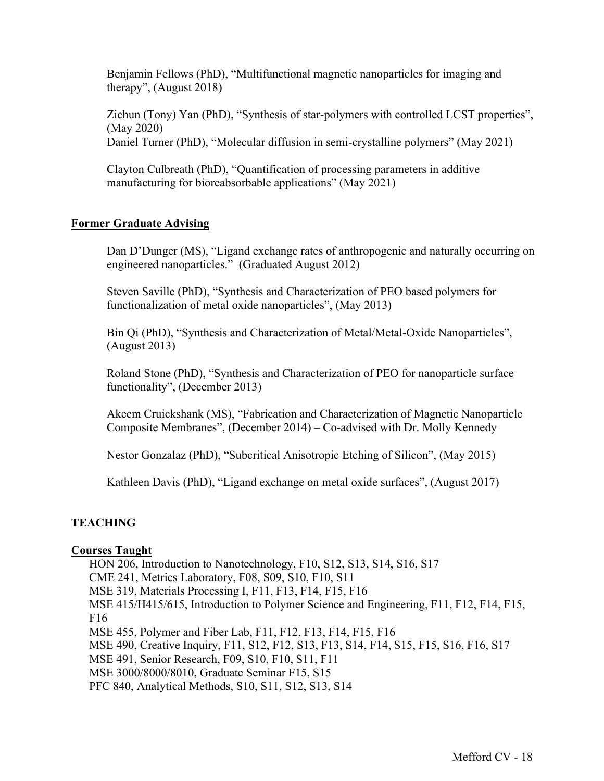Benjamin Fellows (PhD), "Multifunctional magnetic nanoparticles for imaging and therapy", (August 2018)

Zichun (Tony) Yan (PhD), "Synthesis of star-polymers with controlled LCST properties", (May 2020) Daniel Turner (PhD), "Molecular diffusion in semi-crystalline polymers" (May 2021)

Clayton Culbreath (PhD), "Quantification of processing parameters in additive manufacturing for bioreabsorbable applications" (May 2021)

### **Former Graduate Advising**

Dan D'Dunger (MS), "Ligand exchange rates of anthropogenic and naturally occurring on engineered nanoparticles." (Graduated August 2012)

Steven Saville (PhD), "Synthesis and Characterization of PEO based polymers for functionalization of metal oxide nanoparticles", (May 2013)

Bin Qi (PhD), "Synthesis and Characterization of Metal/Metal-Oxide Nanoparticles", (August 2013)

Roland Stone (PhD), "Synthesis and Characterization of PEO for nanoparticle surface functionality", (December 2013)

Akeem Cruickshank (MS), "Fabrication and Characterization of Magnetic Nanoparticle Composite Membranes", (December 2014) – Co-advised with Dr. Molly Kennedy

Nestor Gonzalaz (PhD), "Subcritical Anisotropic Etching of Silicon", (May 2015)

Kathleen Davis (PhD), "Ligand exchange on metal oxide surfaces", (August 2017)

## **TEACHING**

### **Courses Taught**

HON 206, Introduction to Nanotechnology, F10, S12, S13, S14, S16, S17 CME 241, Metrics Laboratory, F08, S09, S10, F10, S11 MSE 319, Materials Processing I, F11, F13, F14, F15, F16 MSE 415/H415/615, Introduction to Polymer Science and Engineering, F11, F12, F14, F15, F16 MSE 455, Polymer and Fiber Lab, F11, F12, F13, F14, F15, F16 MSE 490, Creative Inquiry, F11, S12, F12, S13, F13, S14, F14, S15, F15, S16, F16, S17 MSE 491, Senior Research, F09, S10, F10, S11, F11 MSE 3000/8000/8010, Graduate Seminar F15, S15 PFC 840, Analytical Methods, S10, S11, S12, S13, S14